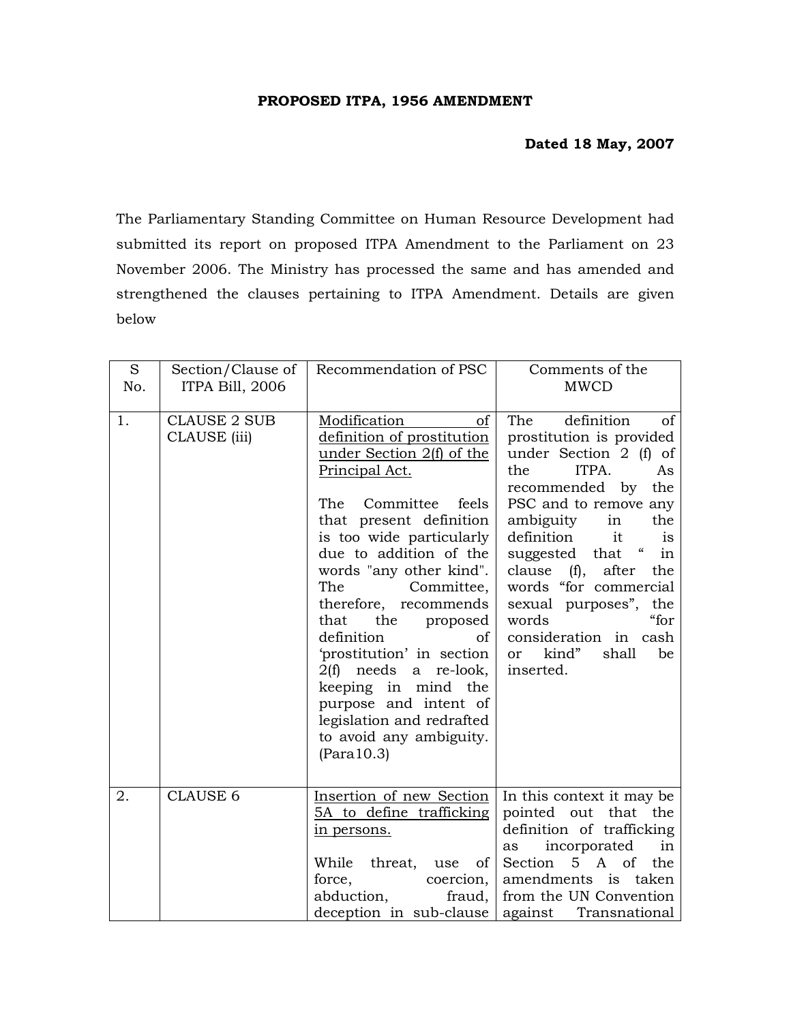## **PROPOSED ITPA, 1956 AMENDMENT**

## **Dated 18 May, 2007**

The Parliamentary Standing Committee on Human Resource Development had submitted its report on proposed ITPA Amendment to the Parliament on 23 November 2006. The Ministry has processed the same and has amended and strengthened the clauses pertaining to ITPA Amendment. Details are given below

| S   | Section/Clause of                   | Recommendation of PSC                                                                                                                                                                                                                                                                                                                                                                                                                                                                                                | Comments of the                                                                                                                                                                                                                                                                                                                                                                                                                                             |
|-----|-------------------------------------|----------------------------------------------------------------------------------------------------------------------------------------------------------------------------------------------------------------------------------------------------------------------------------------------------------------------------------------------------------------------------------------------------------------------------------------------------------------------------------------------------------------------|-------------------------------------------------------------------------------------------------------------------------------------------------------------------------------------------------------------------------------------------------------------------------------------------------------------------------------------------------------------------------------------------------------------------------------------------------------------|
| No. | <b>ITPA Bill, 2006</b>              |                                                                                                                                                                                                                                                                                                                                                                                                                                                                                                                      | <b>MWCD</b>                                                                                                                                                                                                                                                                                                                                                                                                                                                 |
| 1.  | <b>CLAUSE 2 SUB</b><br>CLAUSE (iii) | Modification<br>of<br>definition of prostitution<br>under Section 2(f) of the<br>Principal Act.<br>The<br>Committee<br>feels<br>that present definition<br>is too wide particularly<br>due to addition of the<br>words "any other kind".<br>The<br>Committee,<br>therefore, recommends<br>that<br>the<br>proposed<br>definition<br>οf<br>'prostitution' in section<br>2(f) needs<br>a re-look,<br>keeping in mind the<br>purpose and intent of<br>legislation and redrafted<br>to avoid any ambiguity.<br>(Para10.3) | definition<br>The<br>of<br>prostitution is provided<br>under Section 2 (f) of<br>ITPA.<br>the<br>As<br>recommended by<br>the<br>PSC and to remove any<br>ambiguity<br>in<br>the<br>definition<br>it<br><i>is</i><br>$\pmb{\zeta}\pmb{\zeta}$<br>suggested that<br>in<br>clause (f),<br>after<br>the<br>words "for commercial<br>the<br>sexual purposes",<br>words<br>"for<br>consideration in<br>cash<br>kind"<br>shall<br>be<br><sub>or</sub><br>inserted. |
| 2.  | <b>CLAUSE 6</b>                     | Insertion of new Section<br>5A to define trafficking<br>in persons.<br>While<br>threat,<br>of 1<br>use<br>force,<br>coercion,<br>abduction,<br>fraud,<br>deception in sub-clause                                                                                                                                                                                                                                                                                                                                     | In this context it may be<br>pointed out that<br>the<br>definition of trafficking<br>incorporated<br>in<br>as<br>Section 5 A of<br>the<br>taken<br>amendments is<br>from the UN Convention<br>against Transnational                                                                                                                                                                                                                                         |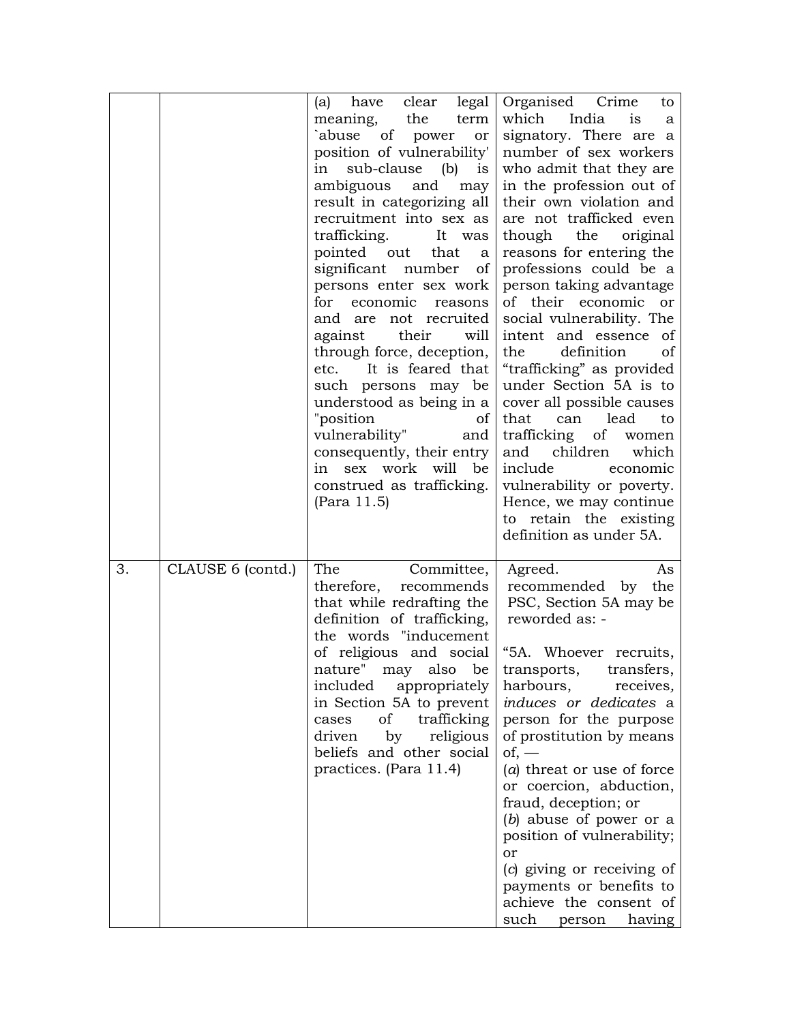|    |                   | clear<br>legal<br>have<br>(a)<br>the<br>term<br>meaning,<br>`abuse of power or<br>position of vulnerability'<br>sub-clause (b)<br>in<br>is<br>ambiguous<br>and<br>may<br>result in categorizing all<br>recruitment into sex as<br>trafficking.<br>It was<br>pointed out<br>that<br><sub>a</sub><br>significant number<br>of<br>persons enter sex work<br>for economic<br>reasons<br>not recruited<br>and are<br>their<br>against<br>will<br>through force, deception,<br>etc. It is feared that<br>such persons may be<br>understood as being in a<br>"position<br>of<br>vulnerability"<br>and<br>consequently, their entry<br>in sex work will be<br>construed as trafficking.<br>(Para 11.5) | Organised Crime<br>to<br>which<br>India<br>1S<br>a<br>signatory. There are a<br>number of sex workers<br>who admit that they are<br>in the profession out of<br>their own violation and<br>are not trafficked even<br>though<br>the<br>original<br>reasons for entering the<br>professions could be a<br>person taking advantage<br>of their economic or<br>social vulnerability. The<br>intent and essence of<br>definition<br>the<br><sub>of</sub><br>"trafficking" as provided<br>under Section 5A is to<br>cover all possible causes<br>that<br>lead<br>can<br>to<br>trafficking of<br>women<br>children<br>and<br>which<br>include<br>economic<br>vulnerability or poverty.<br>Hence, we may continue<br>to retain the existing<br>definition as under 5A. |
|----|-------------------|------------------------------------------------------------------------------------------------------------------------------------------------------------------------------------------------------------------------------------------------------------------------------------------------------------------------------------------------------------------------------------------------------------------------------------------------------------------------------------------------------------------------------------------------------------------------------------------------------------------------------------------------------------------------------------------------|-----------------------------------------------------------------------------------------------------------------------------------------------------------------------------------------------------------------------------------------------------------------------------------------------------------------------------------------------------------------------------------------------------------------------------------------------------------------------------------------------------------------------------------------------------------------------------------------------------------------------------------------------------------------------------------------------------------------------------------------------------------------|
| 3. | CLAUSE 6 (contd.) | The<br>Committee,<br>therefore,<br>recommends<br>that while redrafting the<br>definition of trafficking,<br>the words "inducement<br>of religious and social<br>nature" may also be transports, transfers,<br>included<br>appropriately<br>in Section 5A to prevent<br>of trafficking<br>cases<br>by<br>driven<br>religious<br>beliefs and other social<br>practices. (Para 11.4)                                                                                                                                                                                                                                                                                                              | Agreed.<br>As<br>recommended by the<br>PSC, Section 5A may be<br>reworded as: -<br>"5A. Whoever recruits,<br>harbours,<br>receives,<br>induces or dedicates a<br>person for the purpose<br>of prostitution by means<br>$of,$ —<br>$(a)$ threat or use of force<br>or coercion, abduction,<br>fraud, deception; or<br>$(b)$ abuse of power or a<br>position of vulnerability;<br>or<br>(c) giving or receiving of<br>payments or benefits to<br>achieve the consent of<br>such<br>having<br>person                                                                                                                                                                                                                                                               |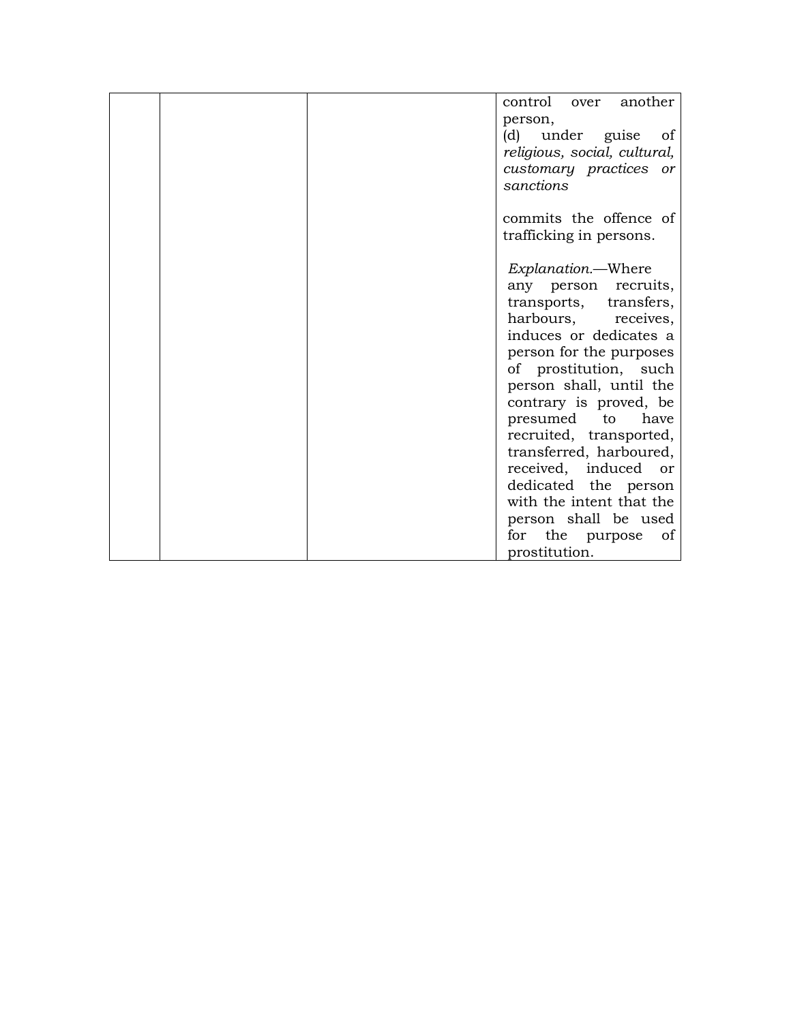| control over another         |
|------------------------------|
| person,                      |
| (d) under guise of           |
| religious, social, cultural, |
| customary practices or       |
| sanctions                    |
|                              |
| commits the offence of       |
| trafficking in persons.      |
| Explanation.—Where           |
| any person recruits,         |
| transports, transfers,       |
| harbours, receives,          |
| induces or dedicates a       |
| person for the purposes      |
| of prostitution, such        |
| person shall, until the      |
| contrary is proved, be       |
| presumed to<br>have          |
| recruited, transported,      |
| transferred, harboured,      |
| received, induced or         |
| dedicated the person         |
| with the intent that the     |
| person shall be used         |
| for the purpose<br>of        |
| prostitution.                |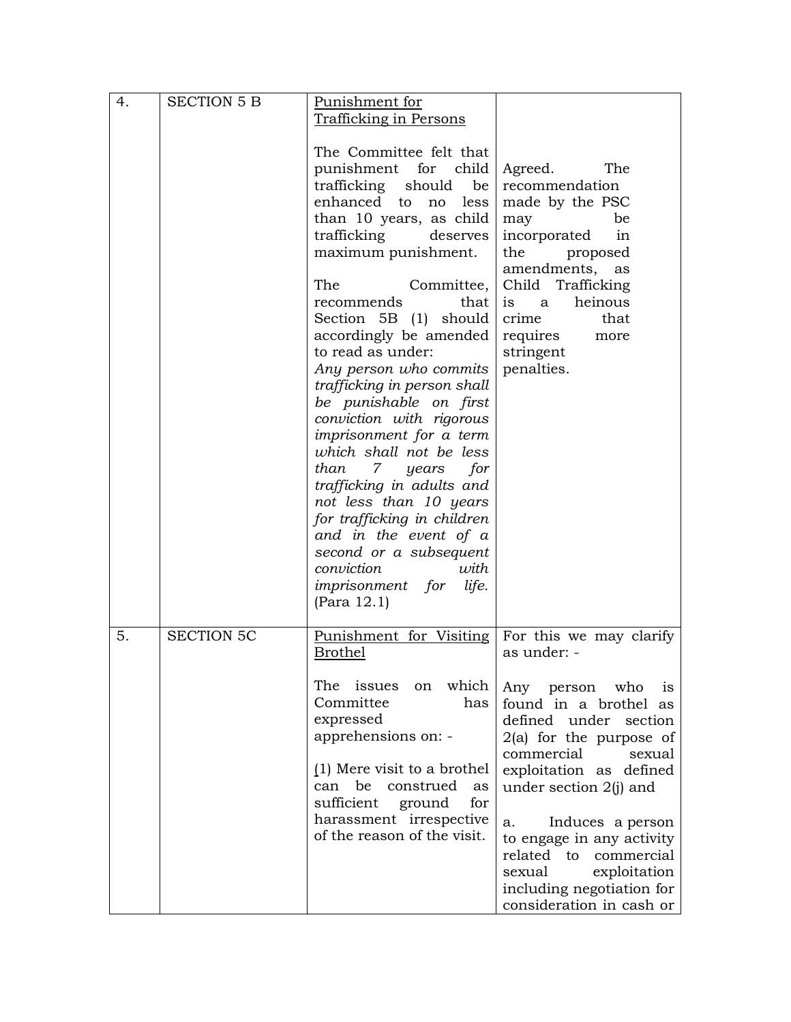| 4. | <b>SECTION 5 B</b> | Punishment for<br>Trafficking in Persons                                                                                                                                                                                                                                                                                                                                                                                                                                                                                                                                                                                                                                                                                         |                                                                                                                                                                                                                                                                                                                                                                 |
|----|--------------------|----------------------------------------------------------------------------------------------------------------------------------------------------------------------------------------------------------------------------------------------------------------------------------------------------------------------------------------------------------------------------------------------------------------------------------------------------------------------------------------------------------------------------------------------------------------------------------------------------------------------------------------------------------------------------------------------------------------------------------|-----------------------------------------------------------------------------------------------------------------------------------------------------------------------------------------------------------------------------------------------------------------------------------------------------------------------------------------------------------------|
|    |                    | The Committee felt that<br>punishment for child<br>trafficking<br>should<br>be<br>enhanced to<br>no<br>less<br>than 10 years, as child<br>trafficking<br>deserves<br>maximum punishment.<br>The<br>Committee,  <br>that  <br>recommends<br>Section 5B (1)<br>should<br>accordingly be amended<br>to read as under:<br>Any person who commits<br>trafficking in person shall<br>be punishable on first<br>conviction with rigorous<br>imprisonment for a term<br>which shall not be less<br>than 7 years<br>for<br>trafficking in adults and<br>not less than 10 years<br>for trafficking in children<br>and in the event of a<br>second or a subsequent<br>conviction<br>with<br><i>imprisonment for</i><br>life.<br>(Para 12.1) | Agreed.<br>The<br>recommendation<br>made by the PSC<br>be<br>may<br>incorporated<br>in<br>the<br>proposed<br>amendments,<br>as<br>Child Trafficking<br>heinous<br><sub>a</sub><br><i>is</i><br>crime<br>that<br>requires<br>more<br>stringent<br>penalties.                                                                                                     |
| 5. | <b>SECTION 5C</b>  | Punishment for Visiting<br><b>Brothel</b>                                                                                                                                                                                                                                                                                                                                                                                                                                                                                                                                                                                                                                                                                        | For this we may clarify<br>as under: -                                                                                                                                                                                                                                                                                                                          |
|    |                    | on which<br>The issues<br>Committee<br>has<br>expressed<br>apprehensions on: -<br>(1) Mere visit to a brothel<br>can be<br>construed<br>as<br>sufficient<br>for<br>ground<br>harassment irrespective<br>of the reason of the visit.                                                                                                                                                                                                                                                                                                                                                                                                                                                                                              | Any person who<br><sup>1</sup> S<br>found in a brothel as<br>defined under section<br>$2(a)$ for the purpose of<br>commercial<br>sexual<br>exploitation as defined<br>under section 2(j) and<br>Induces a person<br>a.<br>to engage in any activity<br>related to commercial<br>sexual<br>exploitation<br>including negotiation for<br>consideration in cash or |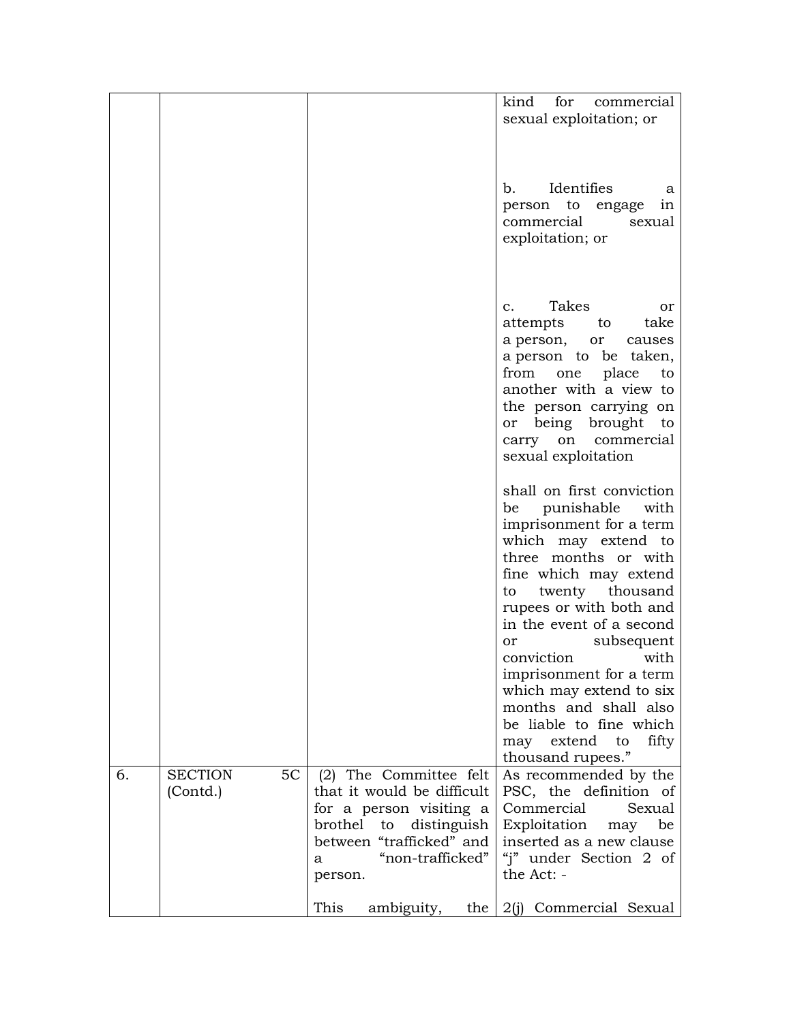|                                        |                                                                                                                                                      | for<br>kind<br>commercial<br>sexual exploitation; or                                                                                                                                                                                                                                                                                                                                      |
|----------------------------------------|------------------------------------------------------------------------------------------------------------------------------------------------------|-------------------------------------------------------------------------------------------------------------------------------------------------------------------------------------------------------------------------------------------------------------------------------------------------------------------------------------------------------------------------------------------|
|                                        |                                                                                                                                                      | Identifies<br>$\mathbf{b}$ .<br>a<br>person to<br>engage<br>1n<br>commercial<br>sexual<br>exploitation; or                                                                                                                                                                                                                                                                                |
|                                        |                                                                                                                                                      | Takes<br>$\mathbf{c}$ .<br>or<br>take<br>attempts<br>to<br>a person,<br>or<br>causes<br>a person to be taken,<br>from<br>place<br>to<br>one<br>another with a view to<br>the person carrying on<br>being<br>brought<br>to<br>or<br>carry on<br>commercial<br>sexual exploitation                                                                                                          |
|                                        |                                                                                                                                                      | shall on first conviction<br>punishable<br>with<br>be<br>imprisonment for a term<br>which may extend to<br>three months or with<br>fine which may extend<br>to twenty thousand<br>rupees or with both and<br>in the event of a second<br>subsequent<br>or<br>with<br>conviction<br>imprisonment for a term<br>which may extend to six<br>months and shall also<br>be liable to fine which |
| <b>SECTION</b><br>5C<br>6.<br>(Contd.) | (2) The Committee felt<br>that it would be difficult                                                                                                 | extend<br>to<br>fifty<br>may<br>thousand rupees."<br>As recommended by the<br>PSC, the definition of                                                                                                                                                                                                                                                                                      |
|                                        | for a person visiting a<br>brothel<br>to<br>distinguish<br>between "trafficked" and<br>"non-trafficked"<br>a<br>person.<br>This<br>ambiguity,<br>the | Commercial<br>Sexual<br>Exploitation<br>be<br>may<br>inserted as a new clause<br>"j" under Section 2 of<br>the Act: -<br>2(j) Commercial Sexual                                                                                                                                                                                                                                           |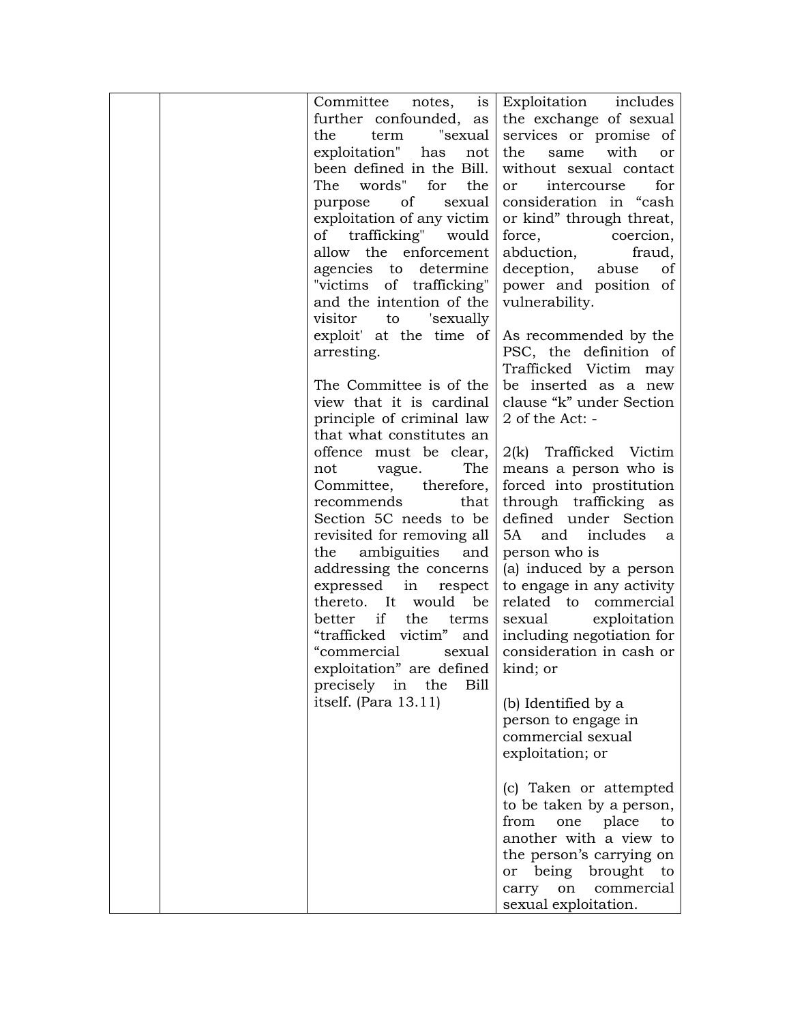| Committee<br>notes,        | Exploitation<br>includes<br>is             |
|----------------------------|--------------------------------------------|
| further confounded, as     | the exchange of sexual                     |
| term "sexual<br>the        | services or promise of                     |
| exploitation" has          | same with<br>the<br>not<br>or              |
| been defined in the Bill.  | without sexual contact                     |
| words" for<br>The          | the<br>for<br>intercourse<br><sub>or</sub> |
| οf<br>purpose              | consideration in "cash<br>sexual           |
| exploitation of any victim | or kind" through threat,                   |
| of trafficking" would      | force,<br>coercion,                        |
| allow the enforcement      | abduction,<br>fraud,                       |
| agencies to determine      | deception,<br>abuse<br>of                  |
| "victims of trafficking"   | power and position of                      |
| and the intention of the   | vulnerability.                             |
| visitor<br>'sexually<br>to |                                            |
| exploit' at the time of    | As recommended by the                      |
| arresting.                 | PSC, the definition of                     |
|                            | Trafficked Victim may                      |
| The Committee is of the    | be inserted as a new                       |
| view that it is cardinal   | clause "k" under Section                   |
| principle of criminal law  | 2 of the Act: -                            |
| that what constitutes an   |                                            |
| offence must be clear,     | 2(k) Trafficked Victim                     |
| vague.<br>not              | The<br>means a person who is               |
| Committee, therefore,      | forced into prostitution                   |
| recommends                 | through trafficking as<br>that             |
| Section 5C needs to be     | defined under Section                      |
| revisited for removing all | 5A<br>and<br>includes<br><sub>a</sub>      |
| ambiguities<br>the         | and<br>person who is                       |
| addressing the concerns    | (a) induced by a person                    |
| expressed in respect       | to engage in any activity                  |
| thereto. It would be       | related to commercial                      |
| better if the              | exploitation<br>terms<br>sexual            |
| "trafficked victim" and    | including negotiation for                  |
| "commercial                | consideration in cash or<br>sexual         |
| exploitation" are defined  | kind; or                                   |
| precisely in the           | <b>Bill</b>                                |
| itself. (Para 13.11)       | (b) Identified by a                        |
|                            | person to engage in                        |
|                            | commercial sexual                          |
|                            | exploitation; or                           |
|                            |                                            |
|                            | (c) Taken or attempted                     |
|                            | to be taken by a person,                   |
|                            | place<br>from<br>one<br>to                 |
|                            | another with a view to                     |
|                            | the person's carrying on                   |
|                            | or being brought<br>to                     |
|                            | commercial<br>on                           |
|                            | carry<br>sexual exploitation.              |
|                            |                                            |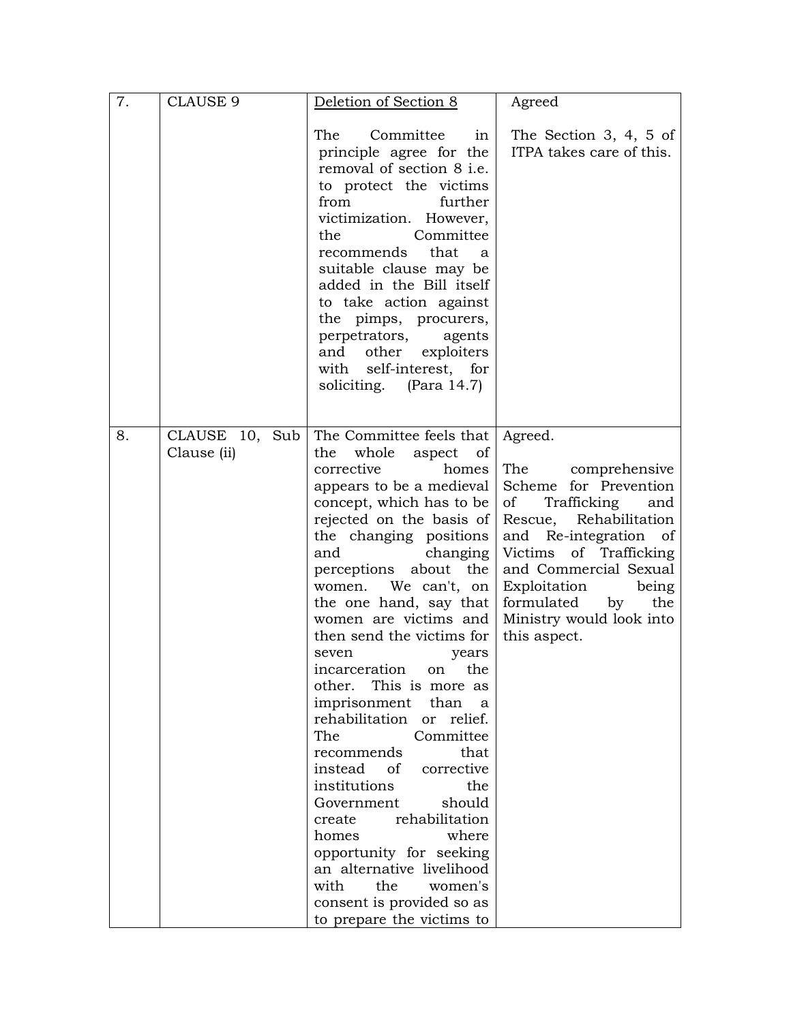| 7. | <b>CLAUSE 9</b>               | Deletion of Section 8                                                                                                                                                                                                                                                                                                                                                                                                                                                                                                                                                                                                                                                                                                                                                                            | Agreed                                                                                                                                                                                                                                                                               |
|----|-------------------------------|--------------------------------------------------------------------------------------------------------------------------------------------------------------------------------------------------------------------------------------------------------------------------------------------------------------------------------------------------------------------------------------------------------------------------------------------------------------------------------------------------------------------------------------------------------------------------------------------------------------------------------------------------------------------------------------------------------------------------------------------------------------------------------------------------|--------------------------------------------------------------------------------------------------------------------------------------------------------------------------------------------------------------------------------------------------------------------------------------|
|    |                               | Committee<br>The<br>1n<br>principle agree for the<br>removal of section 8 i.e.<br>to protect the victims<br>from<br>further<br>victimization. However,<br>the<br>Committee<br>recommends<br>that<br>a<br>suitable clause may be<br>added in the Bill itself<br>to take action against<br>the pimps, procurers,<br>perpetrators,<br>agents<br>and other exploiters<br>with self-interest, for<br>soliciting. (Para 14.7)                                                                                                                                                                                                                                                                                                                                                                          | The Section 3, 4, 5 of<br>ITPA takes care of this.                                                                                                                                                                                                                                   |
| 8. | CLAUSE 10, Sub<br>Clause (ii) | The Committee feels that<br>whole<br>the<br>aspect<br>of<br>corrective<br>homes<br>appears to be a medieval<br>concept, which has to be<br>rejected on the basis of<br>the changing positions<br>and<br>changing<br>perceptions about the<br>women. We can't, on<br>the one hand, say that<br>women are victims and<br>then send the victims for<br>seven<br>years<br>incarceration on the<br>other. This is more as<br>imprisonment<br>than<br>a<br>rehabilitation<br>or relief.<br>Committee<br>The<br>recommends<br>that<br>instead of<br>corrective<br>institutions<br>the<br>should<br>Government<br>rehabilitation<br>create<br>where<br>homes<br>opportunity for seeking<br>an alternative livelihood<br>with<br>the<br>women's<br>consent is provided so as<br>to prepare the victims to | Agreed.<br>The comprehensive<br>Scheme for Prevention<br>Trafficking<br>of<br>and<br>Rescue, Rehabilitation<br>and Re-integration of<br>Victims of Trafficking<br>and Commercial Sexual<br>Exploitation being<br>by<br>formulated<br>the<br>Ministry would look into<br>this aspect. |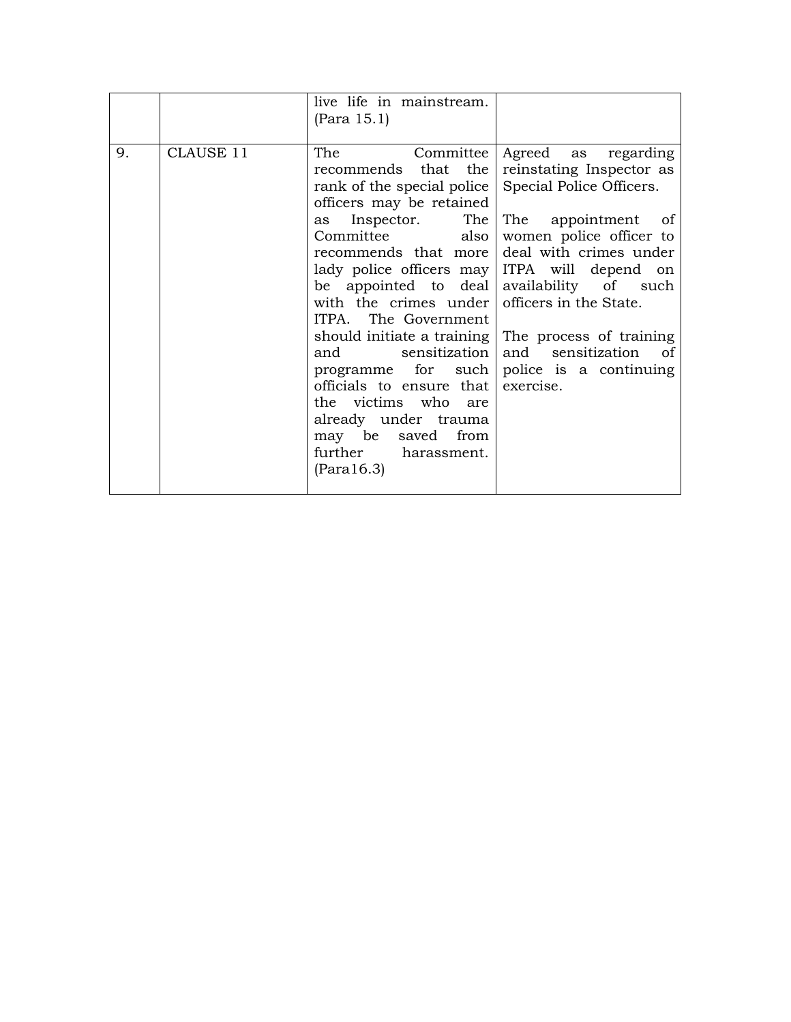|    |           | live life in mainstream.<br>(Para 15.1)                                                                                                                                                                                                                                                                                                                                                                                                                                                                                               |                                                                                                                                                                                                                                                                   |
|----|-----------|---------------------------------------------------------------------------------------------------------------------------------------------------------------------------------------------------------------------------------------------------------------------------------------------------------------------------------------------------------------------------------------------------------------------------------------------------------------------------------------------------------------------------------------|-------------------------------------------------------------------------------------------------------------------------------------------------------------------------------------------------------------------------------------------------------------------|
| 9. | CLAUSE 11 | The<br>Committee<br>recommends that the<br>rank of the special police<br>officers may be retained<br>as Inspector.<br>The<br>Committee<br>also<br>recommends that more<br>lady police officers may ITPA will depend on<br>be appointed to deal availability of such<br>with the crimes under<br>ITPA. The Government<br>and sensitization<br>programme for such police is a continuing<br>officials to ensure that exercise.<br>the victims who are<br>already under trauma<br>may be saved from<br>further harassment.<br>(Para16.3) | Agreed as regarding<br>reinstating Inspector as<br>Special Police Officers.<br>The appointment of<br>women police officer to<br>deal with crimes under<br>officers in the State.<br>should initiate a training The process of training<br>and sensitization<br>of |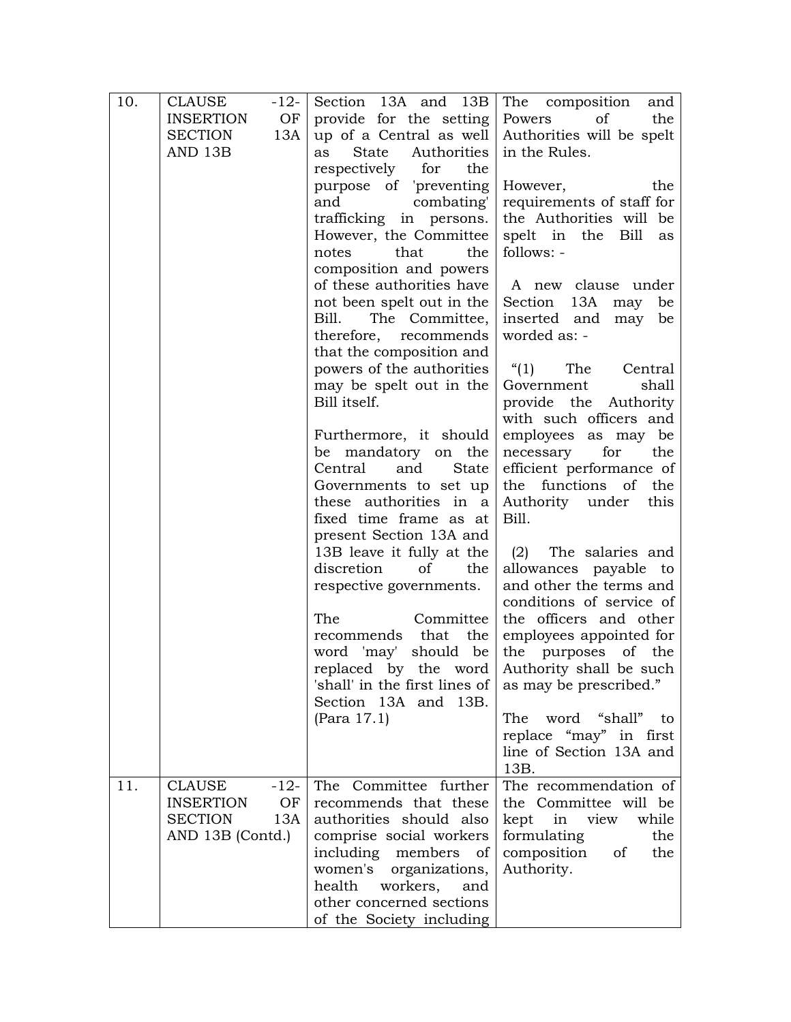| 10. | <b>CLAUSE</b><br>$-12-$ | Section 13A and 13B                                     | The composition<br>and                       |
|-----|-------------------------|---------------------------------------------------------|----------------------------------------------|
|     | <b>INSERTION</b><br>OF  | provide for the setting                                 | Powers<br>the<br>of                          |
|     | SECTION<br>13A          | up of a Central as well $\vert$                         | Authorities will be spelt                    |
|     | AND 13B                 | State Authorities<br>as                                 | in the Rules.                                |
|     |                         | respectively for<br>the                                 |                                              |
|     |                         | purpose of 'preventing                                  | However,<br>the                              |
|     |                         | combating'<br>and                                       | requirements of staff for                    |
|     |                         | trafficking in persons.                                 | the Authorities will be                      |
|     |                         | However, the Committee                                  | spelt in the Bill<br>as                      |
|     |                         | that<br>notes<br>the                                    | follows: -                                   |
|     |                         | composition and powers                                  |                                              |
|     |                         | of these authorities have                               | A new clause under                           |
|     |                         | not been spelt out in the                               | Section 13A<br>be<br>may                     |
|     |                         | The Committee,<br>Bill.                                 | inserted and<br>may<br>be                    |
|     |                         | therefore, recommends                                   | worded as: -                                 |
|     |                         | that the composition and                                |                                              |
|     |                         | powers of the authorities                               | (1)<br>The<br>Central                        |
|     |                         | may be spelt out in the                                 | shall<br>Government                          |
|     |                         | Bill itself.                                            | provide the Authority                        |
|     |                         |                                                         | with such officers and                       |
|     |                         | Furthermore, it should                                  | employees as may be                          |
|     |                         | be mandatory on the                                     | necessary<br>for<br>the                      |
|     |                         | Central<br>and<br>State                                 | efficient performance of                     |
|     |                         | Governments to set up                                   | the functions of the                         |
|     |                         | these authorities in a                                  | Authority under<br>this                      |
|     |                         | fixed time frame as at                                  | Bill.                                        |
|     |                         | present Section 13A and                                 |                                              |
|     |                         | 13B leave it fully at the                               | (2) The salaries and                         |
|     |                         | discretion<br>of<br>the                                 | allowances payable to                        |
|     |                         | respective governments.                                 | and other the terms and                      |
|     |                         |                                                         | conditions of service of                     |
|     |                         | The<br>Committee                                        | the officers and other                       |
|     |                         | recommends that<br>the                                  | employees appointed for                      |
|     |                         | should be<br>word 'may'                                 | the purposes of the                          |
|     |                         |                                                         | replaced by the word Authority shall be such |
|     |                         | 'shall' in the first lines of  <br>Section 13A and 13B. | as may be prescribed."                       |
|     |                         | (Para 17.1)                                             | word "shall"<br>The<br>to to                 |
|     |                         |                                                         | replace "may" in first                       |
|     |                         |                                                         | line of Section 13A and                      |
|     |                         |                                                         | 13B.                                         |
| 11. | <b>CLAUSE</b><br>$-12-$ | The Committee further                                   | The recommendation of                        |
|     | <b>INSERTION</b><br>OF  | recommends that these                                   | the Committee will be                        |
|     | <b>SECTION</b><br>13A   | authorities should also                                 | kept in view<br>while                        |
|     | AND 13B (Contd.)        | comprise social workers                                 | formulating<br>the                           |
|     |                         | including members<br>of                                 | composition<br>of<br>the                     |
|     |                         | women's<br>organizations,                               | Authority.                                   |
|     |                         | health<br>workers,<br>and                               |                                              |
|     |                         | other concerned sections                                |                                              |
|     |                         | of the Society including                                |                                              |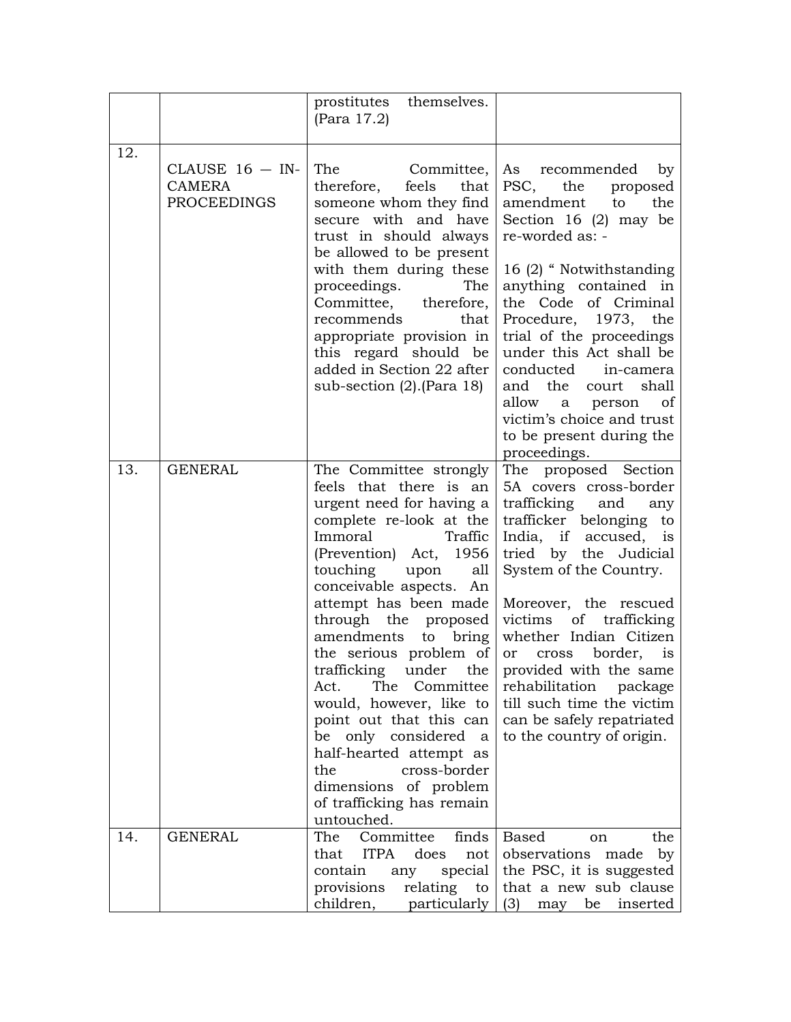|     |                                                         | prostitutes themselves.<br>(Para 17.2)                                                                                                                                                                                                                                                                                                                                                                                                                                                                                                          |                                                                                                                                                                                                                                                                                                                                                                                                                                                            |
|-----|---------------------------------------------------------|-------------------------------------------------------------------------------------------------------------------------------------------------------------------------------------------------------------------------------------------------------------------------------------------------------------------------------------------------------------------------------------------------------------------------------------------------------------------------------------------------------------------------------------------------|------------------------------------------------------------------------------------------------------------------------------------------------------------------------------------------------------------------------------------------------------------------------------------------------------------------------------------------------------------------------------------------------------------------------------------------------------------|
| 12. | CLAUSE $16 - IN$<br><b>CAMERA</b><br><b>PROCEEDINGS</b> | The Committee,<br>therefore, feels<br>that  <br>someone whom they find<br>secure with and have<br>trust in should always<br>be allowed to be present<br>with them during these<br>proceedings.<br>The<br>Committee, therefore,<br>recommends<br>that<br>appropriate provision in<br>this regard should be<br>added in Section 22 after<br>sub-section $(2)$ . (Para 18)                                                                                                                                                                         | As recommended<br>by<br>PSC,<br>the<br>proposed<br>amendment<br>the<br>to<br>Section 16 $(2)$ may be<br>re-worded as: -<br>16 (2) "Notwithstanding<br>anything contained in<br>the Code of Criminal<br>Procedure, 1973, the<br>trial of the proceedings<br>under this Act shall be<br>conducted in-camera<br>and the court<br>shall<br>allow<br>a person<br><sub>of</sub><br>victim's choice and trust<br>to be present during the<br>proceedings.         |
| 13. | <b>GENERAL</b>                                          | The Committee strongly<br>feels that there is an<br>urgent need for having a<br>complete re-look at the<br>Immoral<br>Traffic<br>(Prevention) Act, 1956<br>touching upon<br>all<br>conceivable aspects. An<br>attempt has been made<br>through the proposed<br>amendments to bring<br>the serious problem of<br>The<br>Committee<br>Act.<br>would, however, like to<br>point out that this can<br>be only considered<br>a<br>half-hearted attempt as<br>cross-border<br>the<br>dimensions of problem<br>of trafficking has remain<br>untouched. | The proposed Section<br>5A covers cross-border<br>trafficking<br>and<br>any<br>trafficker belonging to<br>India, if accused, is<br>tried by the Judicial<br>System of the Country.<br>Moreover, the rescued<br>victims of trafficking<br>whether Indian Citizen<br>or cross border, is<br>trafficking under the provided with the same<br>rehabilitation<br>package<br>till such time the victim<br>can be safely repatriated<br>to the country of origin. |
| 14. | <b>GENERAL</b>                                          | Committee<br>The<br>finds<br><b>ITPA</b><br>does<br>that<br>not  <br>special<br>contain<br>any<br>provisions<br>relating to<br>children,<br>particularly                                                                                                                                                                                                                                                                                                                                                                                        | <b>Based</b><br>the<br><sub>on</sub><br>observations made<br>by<br>the PSC, it is suggested<br>that a new sub clause<br>(3)<br>may<br>be<br>inserted                                                                                                                                                                                                                                                                                                       |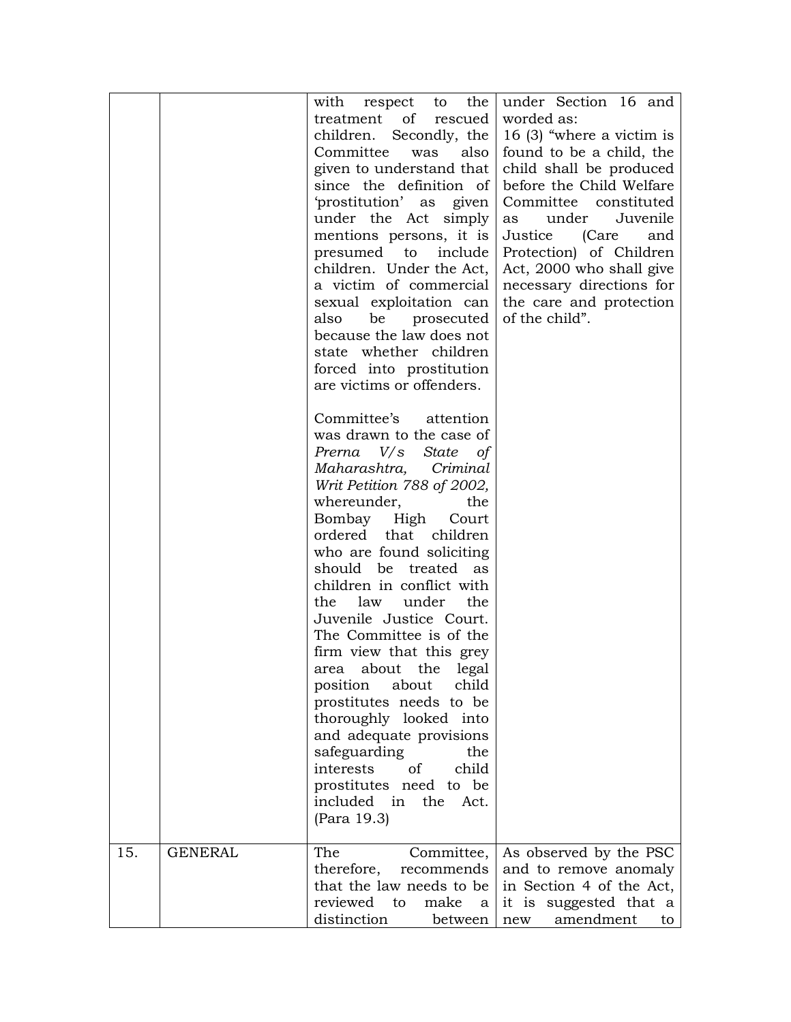| 15. | <b>GENERAL</b> | with respect to the<br>treatment of rescued<br>children. Secondly, the<br>Committee<br>also<br>was<br>given to understand that<br>since the definition of<br>'prostitution' as given<br>under the Act simply<br>mentions persons, it is<br>presumed to include<br>children. Under the Act,<br>a victim of commercial<br>sexual exploitation can<br>also<br>be prosecuted<br>because the law does not<br>state whether children<br>forced into prostitution<br>are victims or offenders.<br>Committee's attention<br>was drawn to the case of<br>Prema V/s State of<br>Maharashtra, Criminal<br>Writ Petition 788 of 2002,<br>whereunder,<br>the<br>Bombay High Court<br>ordered that children<br>who are found soliciting<br>should be treated as<br>children in conflict with<br>law under<br>the<br>the<br>Juvenile Justice Court.<br>The Committee is of the<br>firm view that this grey<br>area about the legal<br>position about<br>child<br>prostitutes needs to be<br>thoroughly looked into<br>and adequate provisions<br>safeguarding<br>the<br>of<br>interests<br>child<br>prostitutes need to be<br>included in the Act.<br>(Para 19.3)<br>The | under Section 16 and<br>worded as:<br>16 (3) "where a victim is<br>found to be a child, the<br>child shall be produced<br>before the Child Welfare<br>Committee constituted<br>Juvenile<br>under<br>as<br>Justice (Care<br>and<br>Protection) of Children<br>Act, 2000 who shall give<br>necessary directions for<br>the care and protection<br>of the child". |
|-----|----------------|-----------------------------------------------------------------------------------------------------------------------------------------------------------------------------------------------------------------------------------------------------------------------------------------------------------------------------------------------------------------------------------------------------------------------------------------------------------------------------------------------------------------------------------------------------------------------------------------------------------------------------------------------------------------------------------------------------------------------------------------------------------------------------------------------------------------------------------------------------------------------------------------------------------------------------------------------------------------------------------------------------------------------------------------------------------------------------------------------------------------------------------------------------------|----------------------------------------------------------------------------------------------------------------------------------------------------------------------------------------------------------------------------------------------------------------------------------------------------------------------------------------------------------------|
|     |                | Committee,<br>therefore,<br>recommends<br>that the law needs to be<br>reviewed<br>to<br>make<br>a<br>distinction<br>between                                                                                                                                                                                                                                                                                                                                                                                                                                                                                                                                                                                                                                                                                                                                                                                                                                                                                                                                                                                                                               | As observed by the PSC<br>and to remove anomaly<br>in Section 4 of the Act,<br>it is suggested that a<br>amendment<br>to<br>new                                                                                                                                                                                                                                |